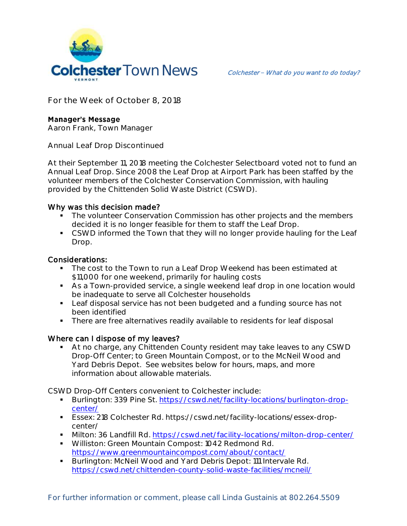

**For the Week of October 8, 2018**

## **Manager's Message**

**Aaron Frank, Town Manager**

**Annual Leaf Drop Discontinued**

At their September 11, 2018 meeting the Colchester Selectboard voted not to fund an Annual Leaf Drop. Since 2008 the Leaf Drop at Airport Park has been staffed by the volunteer members of the Colchester Conservation Commission, with hauling provided by the Chittenden Solid Waste District (CSWD).

## Why was this decision made?

- The volunteer Conservation Commission has other projects and the members decided it is no longer feasible for them to staff the Leaf Drop.
- **CSWD informed the Town that they will no longer provide hauling for the Leaf** Drop.

## Considerations:

- The cost to the Town to run a Leaf Drop Weekend has been estimated at \$11,000 for one weekend, primarily for hauling costs
- As a Town-provided service, a single weekend leaf drop in one location would be inadequate to serve all Colchester households
- **Leaf disposal service has not been budgeted and a funding source has not** been identified
- **There are free alternatives readily available to residents for leaf disposal**

## Where can I dispose of my leaves?

 At no charge, any Chittenden County resident may take leaves to any CSWD Drop-Off Center; to Green Mountain Compost, or to the McNeil Wood and Yard Debris Depot. See websites below for hours, maps, and more information about allowable materials.

CSWD Drop-Off Centers convenient to Colchester include:

- Burlington: 339 Pine St. [https://cswd.net/facility-locations/burlington-drop](https://cswd.net/facility-locations/burlington-drop-center/)[center/](https://cswd.net/facility-locations/burlington-drop-center/)
- Essex: 218 Colchester Rd. https://cswd.net/facility-locations/essex-dropcenter/
- Milton: 36 Landfill Rd.<https://cswd.net/facility-locations/milton-drop-center/>
- **Williston: Green Mountain Compost: 1042 Redmond Rd.** <https://www.greenmountaincompost.com/about/contact/>
- **Burlington: McNeil Wood and Yard Debris Depot: 111 Intervale Rd.** <https://cswd.net/chittenden-county-solid-waste-facilities/mcneil/>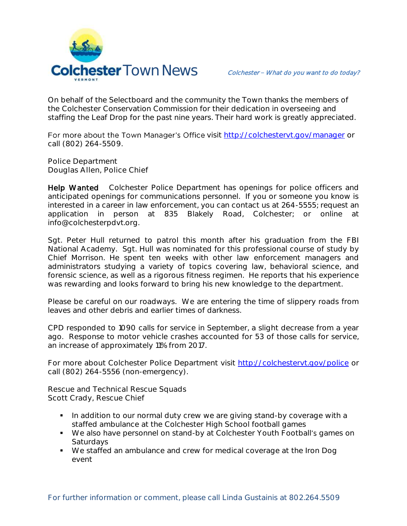

On behalf of the Selectboard and the community the Town thanks the members of the Colchester Conservation Commission for their dedication in overseeing and staffing the Leaf Drop for the past nine years. Their hard work is greatly appreciated.

For more about the Town Manager's Office visit<http://colchestervt.gov/manager> or call (802) 264-5509.

**Police Department Douglas Allen, Police Chief** 

Help Wanted Colchester Police Department has openings for police officers and anticipated openings for communications personnel. If you or someone you know is interested in a career in law enforcement, you can contact us at 264-5555; request an application in person at 835 Blakely Road, Colchester; or online at info@colchesterpdvt.org.

Sgt. Peter Hull returned to patrol this month after his graduation from the FBI National Academy. Sgt. Hull was nominated for this professional course of study by Chief Morrison. He spent ten weeks with other law enforcement managers and administrators studying a variety of topics covering law, behavioral science, and forensic science, as well as a rigorous fitness regimen. He reports that his experience was rewarding and looks forward to bring his new knowledge to the department.

Please be careful on our roadways. We are entering the time of slippery roads from leaves and other debris and earlier times of darkness.

CPD responded to 1090 calls for service in September, a slight decrease from a year ago. Response to motor vehicle crashes accounted for 53 of those calls for service, an increase of approximately 11% from 2017.

For more about Colchester Police Department visit<http://colchestervt.gov/police> or call (802) 264-5556 (non-emergency).

**Rescue and Technical Rescue Squads Scott Crady, Rescue Chief**

- In addition to our normal duty crew we are giving stand-by coverage with a staffed ambulance at the Colchester High School football games
- We also have personnel on stand-by at Colchester Youth Football's games on Saturdays
- We staffed an ambulance and crew for medical coverage at the Iron Dog event